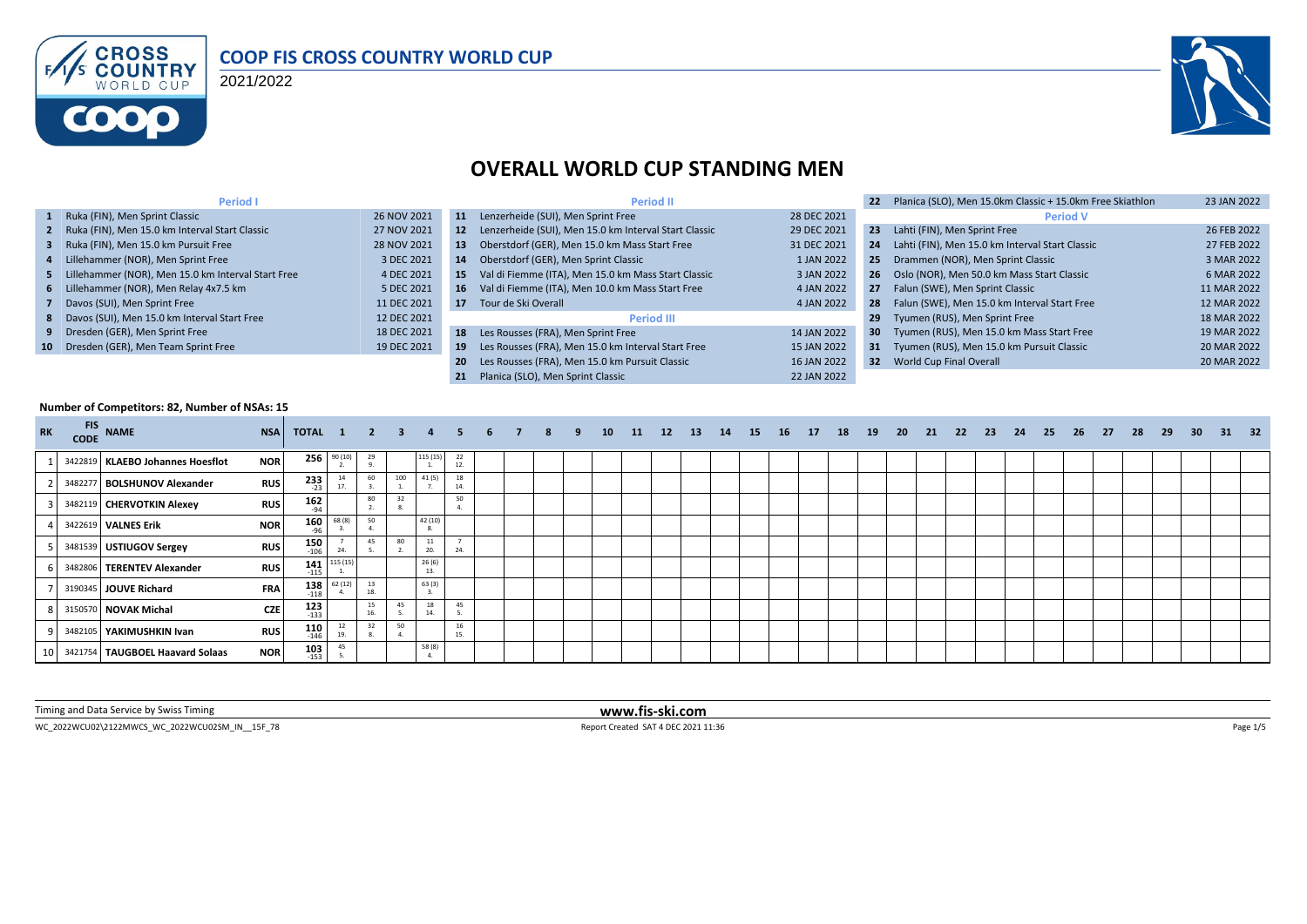

#### **COOP FIS CROSS COUNTRY WORLD CUP**

2021/2022



#### **OVERALL WORLD CUP STANDING MEN**

| <b>Period I</b>                                      |             |     | <b>Period II</b>                                         |             | 22              | Planica (SLO), Men 15.0km Classic + 15.0km Free Skiathlon | 23 JAN 2022 |
|------------------------------------------------------|-------------|-----|----------------------------------------------------------|-------------|-----------------|-----------------------------------------------------------|-------------|
| 1 Ruka (FIN), Men Sprint Classic                     | 26 NOV 2021 | 11  | Lenzerheide (SUI), Men Sprint Free                       | 28 DEC 2021 |                 | <b>Period V</b>                                           |             |
| 2 Ruka (FIN), Men 15.0 km Interval Start Classic     | 27 NOV 2021 |     | 12 Lenzerheide (SUI), Men 15.0 km Interval Start Classic | 29 DEC 2021 | 23              | Lahti (FIN), Men Sprint Free                              | 26 FEB 2022 |
| 3 Ruka (FIN), Men 15.0 km Pursuit Free               | 28 NOV 2021 | 13  | Oberstdorf (GER), Men 15.0 km Mass Start Free            | 31 DEC 2021 | 24              | Lahti (FIN), Men 15.0 km Interval Start Classic           | 27 FEB 2022 |
| 4 Lillehammer (NOR), Men Sprint Free                 | 3 DEC 2021  | 14  | Oberstdorf (GER), Men Sprint Classic                     | 1 JAN 2022  |                 | 25 Drammen (NOR), Men Sprint Classic                      | 3 MAR 2022  |
| 5 Lillehammer (NOR), Men 15.0 km Interval Start Free | 4 DEC 2021  | 15  | Val di Fiemme (ITA), Men 15.0 km Mass Start Classic      | 3 JAN 2022  |                 | 26 Oslo (NOR), Men 50.0 km Mass Start Classic             | 6 MAR 2022  |
| 6 Lillehammer (NOR), Men Relay 4x7.5 km              | 5 DEC 2021  | 16  | Val di Fiemme (ITA), Men 10.0 km Mass Start Free         | 4 JAN 2022  |                 | 27 Falun (SWE), Men Sprint Classic                        | 11 MAR 2022 |
| 7 Davos (SUI), Men Sprint Free                       | 11 DEC 2021 |     | 17 Tour de Ski Overall                                   | 4 JAN 2022  |                 | 28 Falun (SWE), Men 15.0 km Interval Start Free           | 12 MAR 2022 |
| 8 Davos (SUI), Men 15.0 km Interval Start Free       | 12 DEC 2021 |     | <b>Period III</b>                                        |             | 29              | Tyumen (RUS), Men Sprint Free                             | 18 MAR 2022 |
| 9 Dresden (GER), Men Sprint Free                     | 18 DEC 2021 |     | 18 Les Rousses (FRA), Men Sprint Free                    | 14 JAN 2022 | 30 <sub>1</sub> | Tyumen (RUS), Men 15.0 km Mass Start Free                 | 19 MAR 2022 |
| 10 Dresden (GER), Men Team Sprint Free               | 19 DEC 2021 | 19  | Les Rousses (FRA), Men 15.0 km Interval Start Free       | 15 JAN 2022 |                 | 31 Tyumen (RUS), Men 15.0 km Pursuit Classic              | 20 MAR 2022 |
|                                                      |             | -20 | Les Rousses (FRA), Men 15.0 km Pursuit Classic           | 16 JAN 2022 |                 | 32 World Cup Final Overall                                | 20 MAR 2022 |
|                                                      |             | 21  | Planica (SLO). Men Sprint Classic                        | 22 JAN 2022 |                 |                                                           |             |

#### **Number of Competitors: 82, Number of NSAs: 15**

| <b>RK</b> | <b>FIS</b><br><b>CODE</b> | <b>NAME</b>                      | <b>NSA</b> | TOTAL 1 2 3 4 5 |                |           |     |              |           | $6 \quad 7$ | 8 | 9 | 10 <sup>1</sup> | 11 | 12 | - 13 | 14 | <b>15</b> | <b>16</b> | 17 | 18 | 19 | - 20 | 21 | - 22 | - 23 | 24 | 25 | 26 | 27 | 28 | 29 | 30 <sub>2</sub> | - 31 | 32 |
|-----------|---------------------------|----------------------------------|------------|-----------------|----------------|-----------|-----|--------------|-----------|-------------|---|---|-----------------|----|----|------|----|-----------|-----------|----|----|----|------|----|------|------|----|----|----|----|----|----|-----------------|------|----|
|           |                           | 3422819 KLAEBO Johannes Hoesflot | <b>NOR</b> |                 | $256^{90(10)}$ | 29        |     | 115 (15)     | 22<br>12. |             |   |   |                 |    |    |      |    |           |           |    |    |    |      |    |      |      |    |    |    |    |    |    |                 |      |    |
|           |                           | 3482277 BOLSHUNOV Alexander      | <b>RUS</b> | 233<br>$-23$    |                | 60        | 100 | 41 (5)       | 18<br>14. |             |   |   |                 |    |    |      |    |           |           |    |    |    |      |    |      |      |    |    |    |    |    |    |                 |      |    |
|           |                           | 3482119 CHERVOTKIN Alexey        | <b>RUS</b> | $162_{94}$      |                | 80        |     |              | 50        |             |   |   |                 |    |    |      |    |           |           |    |    |    |      |    |      |      |    |    |    |    |    |    |                 |      |    |
|           |                           | 3422619 VALNES Erik              | <b>NOR</b> | 160<br>$-96$    | 68 (8)         | 50        |     | 42 (10)      |           |             |   |   |                 |    |    |      |    |           |           |    |    |    |      |    |      |      |    |    |    |    |    |    |                 |      |    |
|           |                           | 3481539 USTIUGOV Sergey          | <b>RUS</b> | 150<br>$-106$   | 24.            | 45        | 80  | 11<br>20.    | 24.       |             |   |   |                 |    |    |      |    |           |           |    |    |    |      |    |      |      |    |    |    |    |    |    |                 |      |    |
|           |                           | 3482806 TERENTEV Alexander       | <b>RUS</b> | $141$<br>$-115$ | 115(15)        |           |     | 26(6)<br>13. |           |             |   |   |                 |    |    |      |    |           |           |    |    |    |      |    |      |      |    |    |    |    |    |    |                 |      |    |
|           |                           | 3190345 JOUVE Richard            | <b>FRA</b> | 138<br>$-118$   | 62(12)         | 13<br>19  |     | 63(3)        |           |             |   |   |                 |    |    |      |    |           |           |    |    |    |      |    |      |      |    |    |    |    |    |    |                 |      |    |
|           |                           | 3150570 NOVAK Michal             | <b>CZE</b> | $123$<br>$133$  |                | 15<br>16. | 45  | 18<br>14.    | 45        |             |   |   |                 |    |    |      |    |           |           |    |    |    |      |    |      |      |    |    |    |    |    |    |                 |      |    |
|           |                           | 3482105 YAKIMUSHKIN Ivan         | <b>RUS</b> | 110<br>$-146$   | 19.            | 32        | 50  |              | 16<br>15. |             |   |   |                 |    |    |      |    |           |           |    |    |    |      |    |      |      |    |    |    |    |    |    |                 |      |    |
|           |                           | 3421754 TAUGBOEL Haavard Solaas  | <b>NOR</b> | 103<br>$-153$   | 45             |           |     | 58 (8)       |           |             |   |   |                 |    |    |      |    |           |           |    |    |    |      |    |      |      |    |    |    |    |    |    |                 |      |    |

Timing and Data Service by Swiss Timing **www.fis-ski.com**

WC\_2022WCU02\2122MWCS\_WC\_2022WCU02SM\_IN\_\_15F\_78 Page 1/5 Report Created SAT 4 DEC 2021 11:36 Report Created SAT 4 DEC 2021 11:36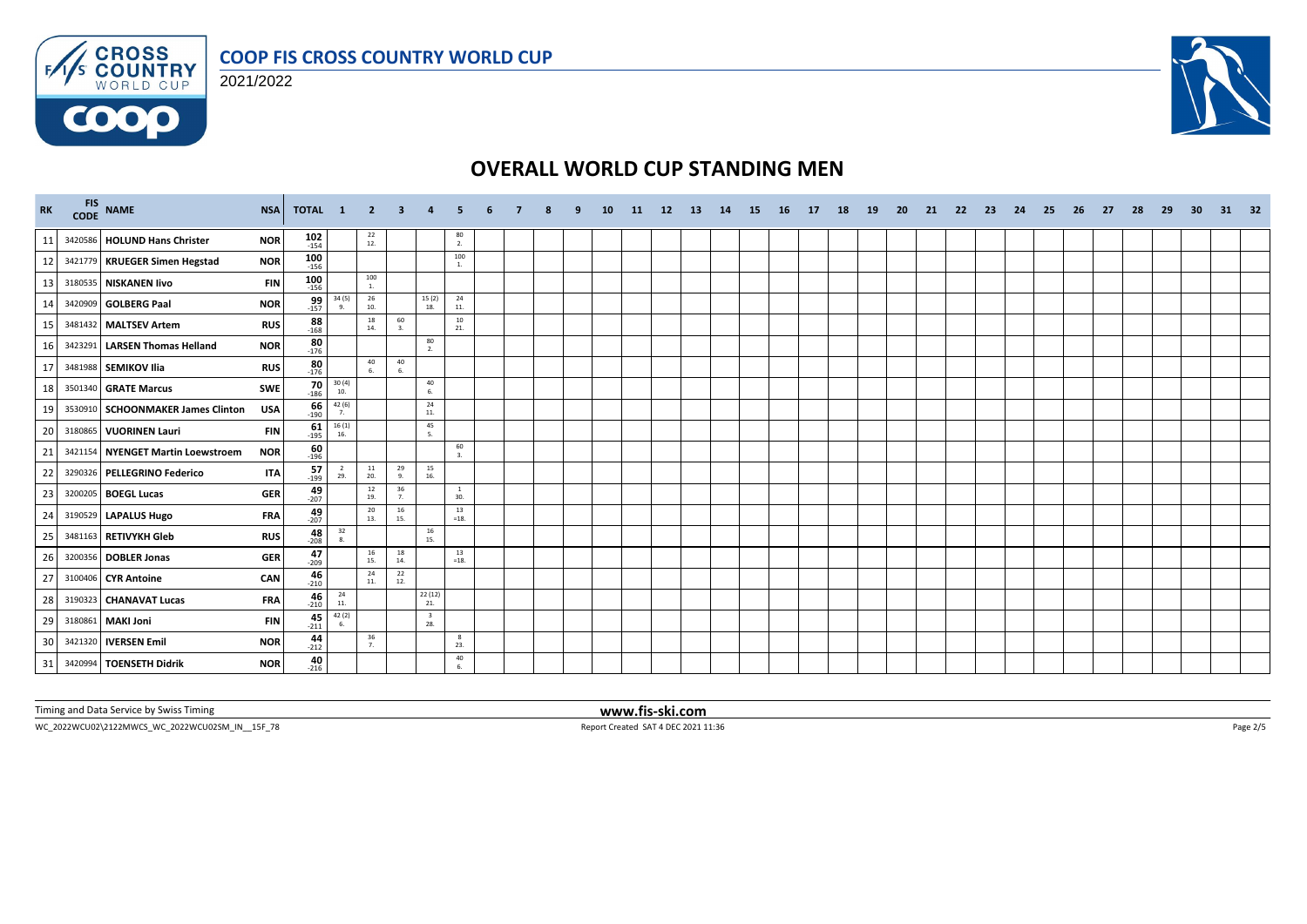

#### 2021/2022



# **OVERALL WORLD CUP STANDING MEN**

| <b>RK</b> | FIS NAME                          | <b>NSA</b> | TOTAL 1          |                                                      | $\overline{\mathbf{2}}$                  | -3                                      |                                                 |                     |  |  | <b>10</b> | -11 | 12 <sup>2</sup> | -13 | 14 | <b>15</b> | <b>16</b> | 17 | 18 | <b>19</b> | -20 | -21 | 22 | -23 | 24 | 25 | 26 | 27 | -28 | -29 | -30 | 31 | 32 |
|-----------|-----------------------------------|------------|------------------|------------------------------------------------------|------------------------------------------|-----------------------------------------|-------------------------------------------------|---------------------|--|--|-----------|-----|-----------------|-----|----|-----------|-----------|----|----|-----------|-----|-----|----|-----|----|----|----|----|-----|-----|-----|----|----|
| 11        | 3420586 HOLUND Hans Christer      | <b>NOR</b> | $102$<br>$154$   |                                                      | $^{22}_{12}$                             |                                         |                                                 | 80<br>2.            |  |  |           |     |                 |     |    |           |           |    |    |           |     |     |    |     |    |    |    |    |     |     |     |    |    |
| 12        | 3421779 KRUEGER Simen Hegstad     | <b>NOR</b> | $100 \\ 156$     |                                                      |                                          |                                         |                                                 | 100<br>1.           |  |  |           |     |                 |     |    |           |           |    |    |           |     |     |    |     |    |    |    |    |     |     |     |    |    |
| 13        | 3180535 NISKANEN livo             | <b>FIN</b> | $100$<br>$156$   |                                                      | 100<br>1.                                |                                         |                                                 |                     |  |  |           |     |                 |     |    |           |           |    |    |           |     |     |    |     |    |    |    |    |     |     |     |    |    |
| 14        | 3420909 GOLBERG Paal              | <b>NOR</b> | $\frac{99}{157}$ | 34 (5)<br>9.                                         | 26<br>10.                                |                                         | 15(2)<br>18.                                    | 24<br>11.           |  |  |           |     |                 |     |    |           |           |    |    |           |     |     |    |     |    |    |    |    |     |     |     |    |    |
| 15        | 3481432 MALTSEV Artem             | <b>RUS</b> | $\frac{88}{168}$ |                                                      | 18<br>14.                                | 60<br>3.                                |                                                 | 10<br>21.           |  |  |           |     |                 |     |    |           |           |    |    |           |     |     |    |     |    |    |    |    |     |     |     |    |    |
| 16        | 3423291 LARSEN Thomas Helland     | <b>NOR</b> | $80 - 176$       |                                                      |                                          |                                         | 80<br>2.                                        |                     |  |  |           |     |                 |     |    |           |           |    |    |           |     |     |    |     |    |    |    |    |     |     |     |    |    |
| 17        | 3481988 SEMIKOV Ilia              | <b>RUS</b> | $\frac{80}{176}$ |                                                      | 40<br>6.                                 | $\begin{array}{c} 40 \\ 6. \end{array}$ |                                                 |                     |  |  |           |     |                 |     |    |           |           |    |    |           |     |     |    |     |    |    |    |    |     |     |     |    |    |
| 18        | 3501340 GRATE Marcus              | SWE        | $\frac{70}{186}$ | 30(4)<br>10.                                         |                                          |                                         | 40<br>6.                                        |                     |  |  |           |     |                 |     |    |           |           |    |    |           |     |     |    |     |    |    |    |    |     |     |     |    |    |
| 19        | 3530910 SCHOONMAKER James Clinton | USA        | $\frac{66}{190}$ | 42 (6)<br>7.                                         |                                          |                                         | 24<br>$11.$                                     |                     |  |  |           |     |                 |     |    |           |           |    |    |           |     |     |    |     |    |    |    |    |     |     |     |    |    |
| 20        | 3180865 VUORINEN Lauri            | <b>FIN</b> | $61 - 195$       | $\begin{array}{c} 16\left(1\right)\\16. \end{array}$ |                                          |                                         | 45<br>5.                                        |                     |  |  |           |     |                 |     |    |           |           |    |    |           |     |     |    |     |    |    |    |    |     |     |     |    |    |
| 21        | 3421154 NYENGET Martin Loewstroem | <b>NOR</b> | $\frac{60}{196}$ |                                                      |                                          |                                         |                                                 | 60<br>3.            |  |  |           |     |                 |     |    |           |           |    |    |           |     |     |    |     |    |    |    |    |     |     |     |    |    |
| 22        | 3290326 PELLEGRINO Federico       | <b>ITA</b> | 57<br>$-199$     | $rac{2}{29}$                                         | 11<br>20.                                | 29<br>9.                                | 15<br>16.                                       |                     |  |  |           |     |                 |     |    |           |           |    |    |           |     |     |    |     |    |    |    |    |     |     |     |    |    |
| 23        | 3200205 BOEGL Lucas               | <b>GER</b> | $49 - 207$       |                                                      | $\begin{array}{c} 12 \\ 19. \end{array}$ | 36<br>7.                                |                                                 | <sup>1</sup><br>30. |  |  |           |     |                 |     |    |           |           |    |    |           |     |     |    |     |    |    |    |    |     |     |     |    |    |
| 24        | 3190529 LAPALUS Hugo              | <b>FRA</b> | $49 - 207$       |                                                      | 20<br>13.                                | 16<br>15.                               |                                                 | 13<br>$=18.$        |  |  |           |     |                 |     |    |           |           |    |    |           |     |     |    |     |    |    |    |    |     |     |     |    |    |
| 25        | 3481163 RETIVYKH Gleb             | <b>RUS</b> | $\frac{48}{208}$ | $\begin{array}{c} 32 \\ 8. \end{array}$              |                                          |                                         | $\frac{16}{15}$                                 |                     |  |  |           |     |                 |     |    |           |           |    |    |           |     |     |    |     |    |    |    |    |     |     |     |    |    |
| 26        | 3200356 DOBLER Jonas              | <b>GER</b> | $47_{-209}$      |                                                      | 16<br>15.                                | 18<br>14.                               |                                                 | 13<br>$=18.$        |  |  |           |     |                 |     |    |           |           |    |    |           |     |     |    |     |    |    |    |    |     |     |     |    |    |
| 27        | 3100406 CYR Antoine               | CAN        | $\frac{46}{210}$ |                                                      | 24<br>11.                                | 22<br>12.                               |                                                 |                     |  |  |           |     |                 |     |    |           |           |    |    |           |     |     |    |     |    |    |    |    |     |     |     |    |    |
| 28        | 3190323 CHANAVAT Lucas            | <b>FRA</b> | $\frac{46}{210}$ | $\begin{array}{c} 24 \\ 11. \end{array}$             |                                          |                                         | $\begin{array}{c} 22 \ (12) \\ 21. \end{array}$ |                     |  |  |           |     |                 |     |    |           |           |    |    |           |     |     |    |     |    |    |    |    |     |     |     |    |    |
| 29        | 3180861 MAKI Joni                 | <b>FIN</b> | 45<br>$-211$     | 42 (2)<br>6.                                         |                                          |                                         | $\overline{\mathbf{3}}$<br>28.                  |                     |  |  |           |     |                 |     |    |           |           |    |    |           |     |     |    |     |    |    |    |    |     |     |     |    |    |
| 30        | 3421320 <b>IVERSEN Emil</b>       | <b>NOR</b> | $44 - 212$       |                                                      | 36<br>7.                                 |                                         |                                                 | 8<br>23.            |  |  |           |     |                 |     |    |           |           |    |    |           |     |     |    |     |    |    |    |    |     |     |     |    |    |
| 31        | 3420994 TOENSETH Didrik           | <b>NOR</b> | 40<br>$-216$     |                                                      |                                          |                                         |                                                 | 40<br>6             |  |  |           |     |                 |     |    |           |           |    |    |           |     |     |    |     |    |    |    |    |     |     |     |    |    |

Timing and Data Service by Swiss Timing **www.fis-ski.com**

WC\_2022WCU02\2122MWCS\_WC\_2022WCU02SM\_IN\_\_15F\_78 Report Created SAT 4 DEC 2021 11:36 Page 2/5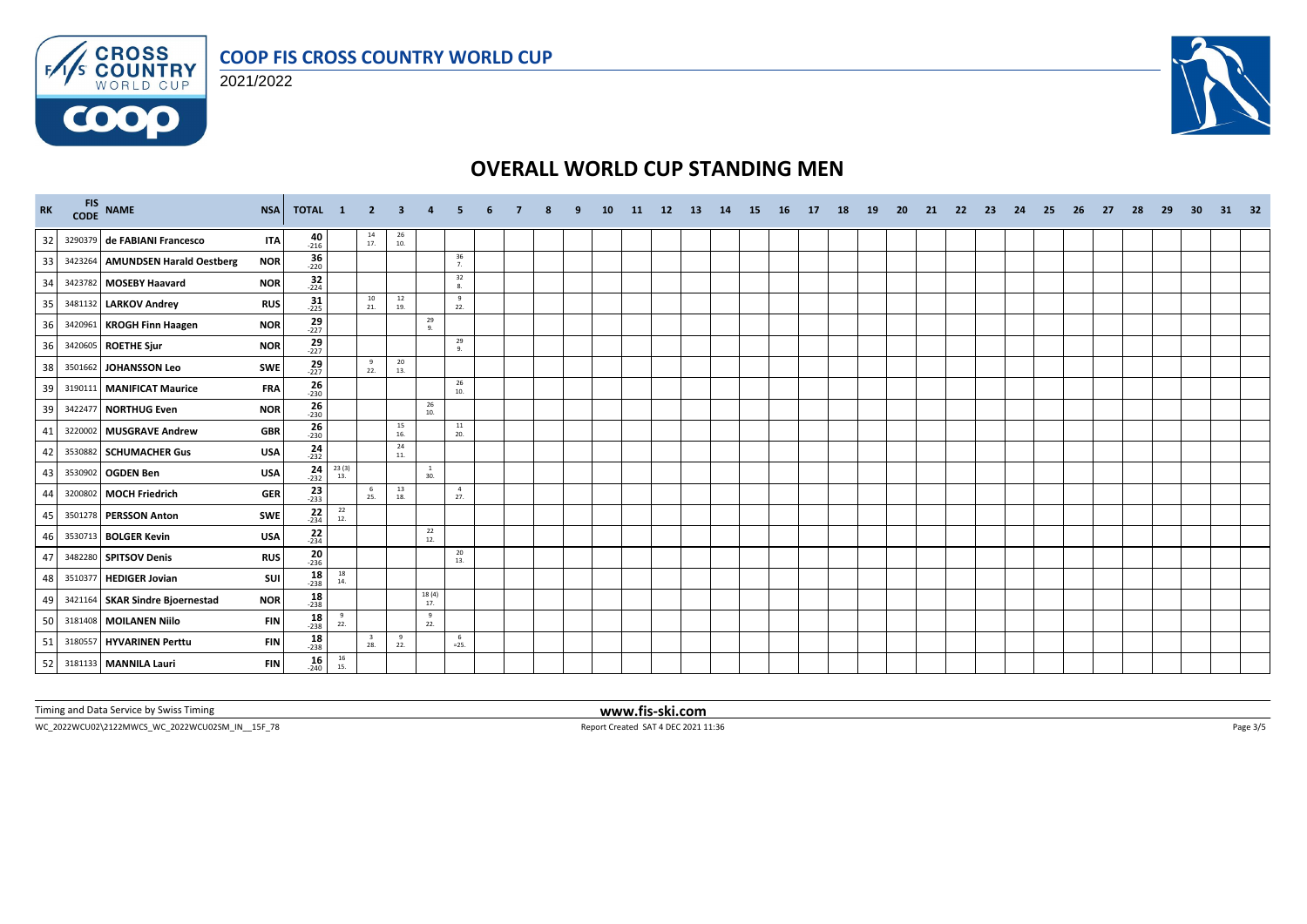





## **OVERALL WORLD CUP STANDING MEN**

| <b>RK</b>      |         | FIS NAME                         | <b>NSA</b> | TOTAL 1              |                                          | $\overline{2}$                 | 3         |                     |                       |  |  | <b>10</b> | <b>11</b> | 12 | <b>13</b> | <b>14</b> | <b>15</b> | - 16 | <b>17</b> | 18 | <b>19</b> | -20 | -21 | -22 | -23 | -24 | -25 | 26 | -27 | - 28 | -29 | -30 | 31 32 |  |
|----------------|---------|----------------------------------|------------|----------------------|------------------------------------------|--------------------------------|-----------|---------------------|-----------------------|--|--|-----------|-----------|----|-----------|-----------|-----------|------|-----------|----|-----------|-----|-----|-----|-----|-----|-----|----|-----|------|-----|-----|-------|--|
| 32             |         | 3290379 de FABIANI Francesco     | <b>ITA</b> | $-216$               |                                          | $\frac{14}{17}$                | 26<br>10. |                     |                       |  |  |           |           |    |           |           |           |      |           |    |           |     |     |     |     |     |     |    |     |      |     |     |       |  |
| 33             |         | 3423264 AMUNDSEN Harald Oestberg | <b>NOR</b> | $36 - 220$           |                                          |                                |           |                     | 36<br>7.              |  |  |           |           |    |           |           |           |      |           |    |           |     |     |     |     |     |     |    |     |      |     |     |       |  |
| 34             |         | 3423782 MOSEBY Haavard           | <b>NOR</b> | $\frac{32}{224}$     |                                          |                                |           |                     | 32<br>8.              |  |  |           |           |    |           |           |           |      |           |    |           |     |     |     |     |     |     |    |     |      |     |     |       |  |
| 35             |         | 3481132 LARKOV Andrey            | <b>RUS</b> | 31<br>$-225$         |                                          | 10<br>21.                      | 12<br>19. |                     | $\mathbf{q}$<br>22.   |  |  |           |           |    |           |           |           |      |           |    |           |     |     |     |     |     |     |    |     |      |     |     |       |  |
| 36             |         | 3420961 KROGH Finn Haagen        | <b>NOR</b> | $\frac{29}{-227}$    |                                          |                                |           | 29<br>9.            |                       |  |  |           |           |    |           |           |           |      |           |    |           |     |     |     |     |     |     |    |     |      |     |     |       |  |
| $\overline{3}$ |         | 3420605 ROETHE Sjur              | <b>NOR</b> | $29 - 227$           |                                          |                                |           |                     | 29<br>Q <sub>1</sub>  |  |  |           |           |    |           |           |           |      |           |    |           |     |     |     |     |     |     |    |     |      |     |     |       |  |
| 38             |         | 3501662 JOHANSSON Leo            | <b>SWE</b> | $\frac{29}{227}$     |                                          | $\frac{9}{22}$ .               | 20<br>13. |                     |                       |  |  |           |           |    |           |           |           |      |           |    |           |     |     |     |     |     |     |    |     |      |     |     |       |  |
| 39             |         | 3190111 MANIFICAT Maurice        | <b>FRA</b> | $\frac{26}{230}$     |                                          |                                |           |                     | 26<br>10.             |  |  |           |           |    |           |           |           |      |           |    |           |     |     |     |     |     |     |    |     |      |     |     |       |  |
| 39             |         | 3422477 NORTHUG Even             | <b>NOR</b> | $\frac{26}{230}$     |                                          |                                |           | 26<br>10.           |                       |  |  |           |           |    |           |           |           |      |           |    |           |     |     |     |     |     |     |    |     |      |     |     |       |  |
| 41             | 3220002 | <b>MUSGRAVE Andrew</b>           | <b>GBR</b> | $\frac{26}{230}$     |                                          |                                | 15<br>16. |                     | $11\,$<br>20.         |  |  |           |           |    |           |           |           |      |           |    |           |     |     |     |     |     |     |    |     |      |     |     |       |  |
| 42             |         | 3530882 SCHUMACHER Gus           | <b>USA</b> | $24 \over 232$       |                                          |                                | 24<br>11. |                     |                       |  |  |           |           |    |           |           |           |      |           |    |           |     |     |     |     |     |     |    |     |      |     |     |       |  |
| 43             |         | 3530902 OGDEN Ben                | <b>USA</b> | 24 $23(3)$<br>$-232$ | 13.                                      |                                |           | $\mathbf{1}$<br>30. |                       |  |  |           |           |    |           |           |           |      |           |    |           |     |     |     |     |     |     |    |     |      |     |     |       |  |
| 44             | 3200802 | <b>MOCH Friedrich</b>            | <b>GER</b> | $\frac{23}{233}$     |                                          | 6<br>25.                       | 13<br>18. |                     | $\overline{4}$<br>27. |  |  |           |           |    |           |           |           |      |           |    |           |     |     |     |     |     |     |    |     |      |     |     |       |  |
| 45             |         | 3501278 PERSSON Anton            | <b>SWE</b> | $22$<br>$-234$       | $\begin{array}{c} 22 \\ 12. \end{array}$ |                                |           |                     |                       |  |  |           |           |    |           |           |           |      |           |    |           |     |     |     |     |     |     |    |     |      |     |     |       |  |
|                |         | 3530713 BOLGER Kevin             | <b>USA</b> | $\frac{22}{234}$     |                                          |                                |           | 22<br>12.           |                       |  |  |           |           |    |           |           |           |      |           |    |           |     |     |     |     |     |     |    |     |      |     |     |       |  |
| 47             |         | 3482280 SPITSOV Denis            | <b>RUS</b> | $\frac{20}{236}$     |                                          |                                |           |                     | 20<br>13.             |  |  |           |           |    |           |           |           |      |           |    |           |     |     |     |     |     |     |    |     |      |     |     |       |  |
| 48             |         | 3510377 HEDIGER Jovian           | sui l      | $18 - 238$           | 18<br>14.                                |                                |           |                     |                       |  |  |           |           |    |           |           |           |      |           |    |           |     |     |     |     |     |     |    |     |      |     |     |       |  |
| 49             |         | 3421164 SKAR Sindre Bjoernestad  | <b>NOR</b> | $\frac{18}{238}$     |                                          |                                |           | 18(4)<br>17.        |                       |  |  |           |           |    |           |           |           |      |           |    |           |     |     |     |     |     |     |    |     |      |     |     |       |  |
| 50             |         | 3181408 MOILANEN Niilo           | <b>FIN</b> | $18 - 238$           | $\frac{9}{22}$ .                         |                                |           | 9<br>22.            |                       |  |  |           |           |    |           |           |           |      |           |    |           |     |     |     |     |     |     |    |     |      |     |     |       |  |
| 51             |         | 3180557 HYVARINEN Perttu         | <b>FIN</b> | $18 - 238$           |                                          | $\overline{\mathbf{3}}$<br>28. | 9<br>22.  |                     | - 6<br>$=25$          |  |  |           |           |    |           |           |           |      |           |    |           |     |     |     |     |     |     |    |     |      |     |     |       |  |
| 52             |         | 3181133 MANNILA Lauri            | <b>FIN</b> | $16 - 240$           | $\begin{array}{c} 16 \\ 15. \end{array}$ |                                |           |                     |                       |  |  |           |           |    |           |           |           |      |           |    |           |     |     |     |     |     |     |    |     |      |     |     |       |  |

Timing and Data Service by Swiss Timing **www.fis-ski.com**

WC\_2022WCU02\2122MWCS\_WC\_2022WCU02SM\_IN\_\_15F\_78 Report Created SAT 4 DEC 2021 11:36 Page 3/5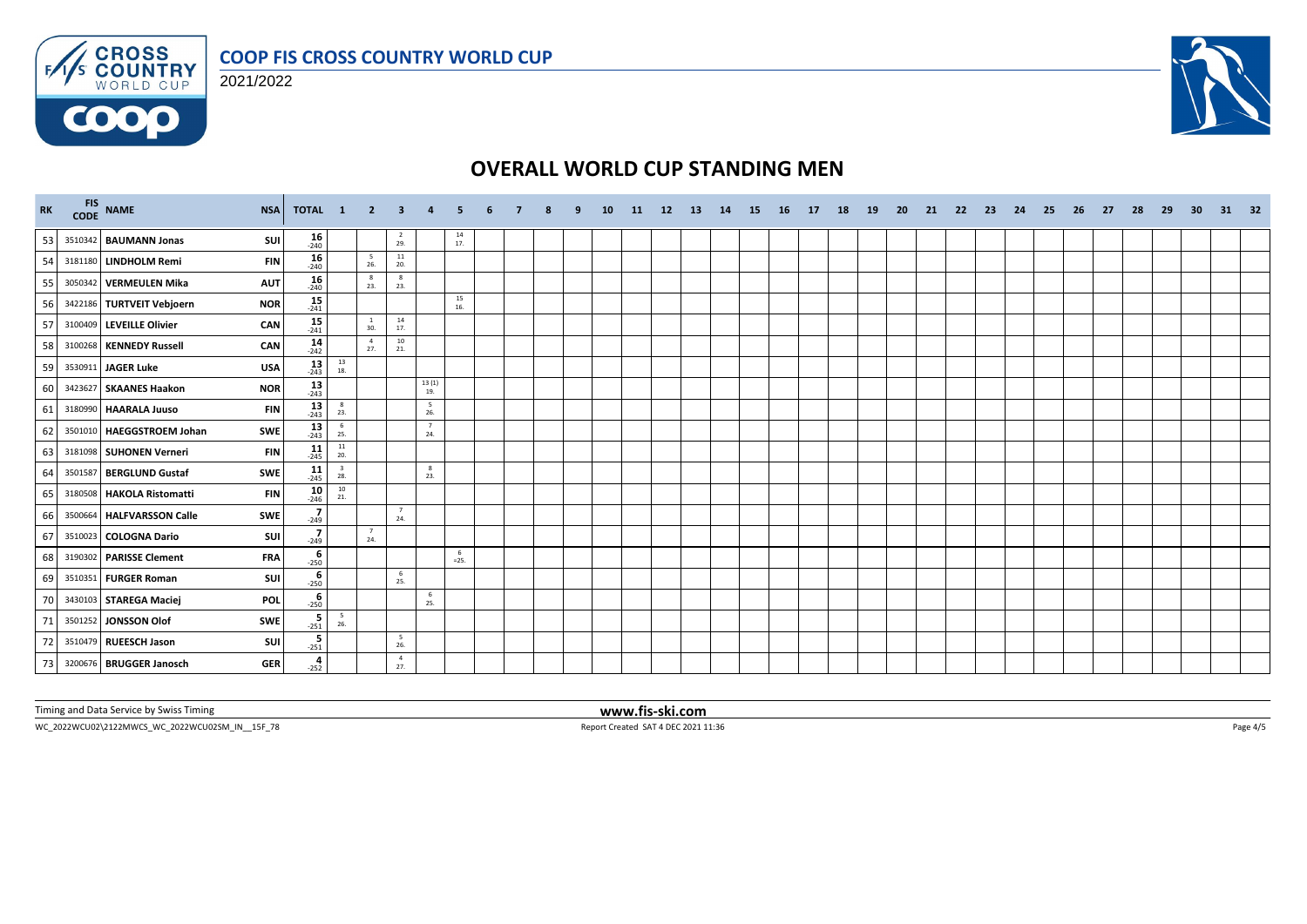





# **OVERALL WORLD CUP STANDING MEN**

| <b>RK</b> |         | FIS NAME<br><b>NSA</b>                  | TOTAL 1              |                                          | $\overline{\mathbf{2}}$ | $\mathbf{3}$                             |                        |               |  |  | <b>10</b> | -11 | <b>12</b> | <b>13</b> | 14 | -15 | <b>16</b> | 17 | 18 | 19 | -20 | 21 | -22 | 23 | 24 | -25 | -26 | 27 | 28 | 29 | 30 | 31 32 |  |
|-----------|---------|-----------------------------------------|----------------------|------------------------------------------|-------------------------|------------------------------------------|------------------------|---------------|--|--|-----------|-----|-----------|-----------|----|-----|-----------|----|----|----|-----|----|-----|----|----|-----|-----|----|----|----|----|-------|--|
| 53        |         | 3510342 BAUMANN Jonas<br>SUI            | $16 - 240$           |                                          |                         | $\frac{2}{29}$ .                         |                        | 14<br>17.     |  |  |           |     |           |           |    |     |           |    |    |    |     |    |     |    |    |     |     |    |    |    |    |       |  |
| 54        |         | 3181180 LINDHOLM Remi<br><b>FIN</b>     | $16 \atop -240$      |                                          | $\frac{5}{26}$          | $\begin{array}{c} 11 \\ 20. \end{array}$ |                        |               |  |  |           |     |           |           |    |     |           |    |    |    |     |    |     |    |    |     |     |    |    |    |    |       |  |
| 55        |         | 3050342 VERMEULEN Mika<br><b>AUT</b>    | $16 \atop -240$      |                                          | 8<br>23.                | 8<br>23.                                 |                        |               |  |  |           |     |           |           |    |     |           |    |    |    |     |    |     |    |    |     |     |    |    |    |    |       |  |
| 56        |         | <b>NOR</b><br>3422186 TURTVEIT Vebjoern | $\frac{15}{241}$     |                                          |                         |                                          |                        | 15<br>16.     |  |  |           |     |           |           |    |     |           |    |    |    |     |    |     |    |    |     |     |    |    |    |    |       |  |
| 57        |         | CAN<br>3100409 LEVEILLE Olivier         | $\frac{15}{241}$     |                                          | $\overline{1}$<br>30.   | 14<br>17.                                |                        |               |  |  |           |     |           |           |    |     |           |    |    |    |     |    |     |    |    |     |     |    |    |    |    |       |  |
| 58        |         | 3100268 KENNEDY Russell<br>CAN          | $\frac{14}{242}$     |                                          | $\overline{4}$<br>27.   | 10<br>21.                                |                        |               |  |  |           |     |           |           |    |     |           |    |    |    |     |    |     |    |    |     |     |    |    |    |    |       |  |
| 59        |         | 3530911 JAGER Luke<br><b>USA</b>        | $\frac{13}{243}$     | $\begin{array}{c} 13 \\ 18. \end{array}$ |                         |                                          |                        |               |  |  |           |     |           |           |    |     |           |    |    |    |     |    |     |    |    |     |     |    |    |    |    |       |  |
| 60        |         | 3423627 SKAANES Haakon<br><b>NOR</b>    | $13$ <sub>243</sub>  |                                          |                         |                                          | 13(1)<br>19.           |               |  |  |           |     |           |           |    |     |           |    |    |    |     |    |     |    |    |     |     |    |    |    |    |       |  |
| 61        |         | 3180990 HAARALA Juuso<br><b>FIN</b>     | $13$ <sub>243</sub>  | $\overline{\phantom{a}}$<br>23.          |                         |                                          | $5\overline{5}$<br>26. |               |  |  |           |     |           |           |    |     |           |    |    |    |     |    |     |    |    |     |     |    |    |    |    |       |  |
| 62        | 3501010 | HAEGGSTROEM Johan<br><b>SWE</b>         | $13$ <sub>243</sub>  | $\begin{array}{c} 6 \\ 25. \end{array}$  |                         |                                          | $7\overline{ }$<br>24. |               |  |  |           |     |           |           |    |     |           |    |    |    |     |    |     |    |    |     |     |    |    |    |    |       |  |
| 63        |         | <b>FIN</b><br>3181098 SUHONEN Verneri   | $11$ <sub>-245</sub> | 11<br>20.                                |                         |                                          |                        |               |  |  |           |     |           |           |    |     |           |    |    |    |     |    |     |    |    |     |     |    |    |    |    |       |  |
| 64        |         | <b>SWE</b><br>3501587 BERGLUND Gustaf   | $11$ <sub>-245</sub> | $\overline{\mathbf{3}}$<br>28.           |                         |                                          | 8<br>23.               |               |  |  |           |     |           |           |    |     |           |    |    |    |     |    |     |    |    |     |     |    |    |    |    |       |  |
| 65        |         | 3180508 HAKOLA Ristomatti<br><b>FIN</b> | $10_{246}$           | $\begin{array}{c} 10 \\ 21. \end{array}$ |                         |                                          |                        |               |  |  |           |     |           |           |    |     |           |    |    |    |     |    |     |    |    |     |     |    |    |    |    |       |  |
| 66        |         | 3500664 HALFVARSSON Calle<br>SWE        | $\frac{7}{249}$      |                                          |                         | $\overline{7}$<br>24.                    |                        |               |  |  |           |     |           |           |    |     |           |    |    |    |     |    |     |    |    |     |     |    |    |    |    |       |  |
| 67        |         | SUI<br>3510023 COLOGNA Dario            | $\frac{7}{249}$      |                                          | 7<br>24.                |                                          |                        |               |  |  |           |     |           |           |    |     |           |    |    |    |     |    |     |    |    |     |     |    |    |    |    |       |  |
| 68        |         | <b>FRA</b><br>3190302 PARISSE Clement   | $-250$               |                                          |                         |                                          |                        | - 6<br>$=25.$ |  |  |           |     |           |           |    |     |           |    |    |    |     |    |     |    |    |     |     |    |    |    |    |       |  |
| 69        |         | SUI<br>3510351 FURGER Roman             | $-250$               |                                          |                         | 6<br>25.                                 |                        |               |  |  |           |     |           |           |    |     |           |    |    |    |     |    |     |    |    |     |     |    |    |    |    |       |  |
| 70        |         | 3430103 STAREGA Maciej<br><b>POL</b>    | $-250$               |                                          |                         |                                          | 6<br>25.               |               |  |  |           |     |           |           |    |     |           |    |    |    |     |    |     |    |    |     |     |    |    |    |    |       |  |
| 71        |         | <b>SWE</b><br>3501252 JONSSON Olof      | $\frac{5}{251}$      | $\frac{5}{26}$                           |                         |                                          |                        |               |  |  |           |     |           |           |    |     |           |    |    |    |     |    |     |    |    |     |     |    |    |    |    |       |  |
| 72        |         | 3510479 RUEESCH Jason<br>SUI            | $\frac{5}{251}$      |                                          |                         | -5<br>26.                                |                        |               |  |  |           |     |           |           |    |     |           |    |    |    |     |    |     |    |    |     |     |    |    |    |    |       |  |
| 73        |         | 3200676 BRUGGER Janosch<br><b>GER</b>   | 4<br>$-252$          |                                          |                         | $\overline{4}$<br>27.                    |                        |               |  |  |           |     |           |           |    |     |           |    |    |    |     |    |     |    |    |     |     |    |    |    |    |       |  |

Timing and Data Service by Swiss Timing **www.fis-ski.com**

WC\_2022WCU02\2122MWCS\_WC\_2022WCU02SM\_IN\_\_15F\_78 Report Created SAT 4 DEC 2021 11:36 Page 4/5